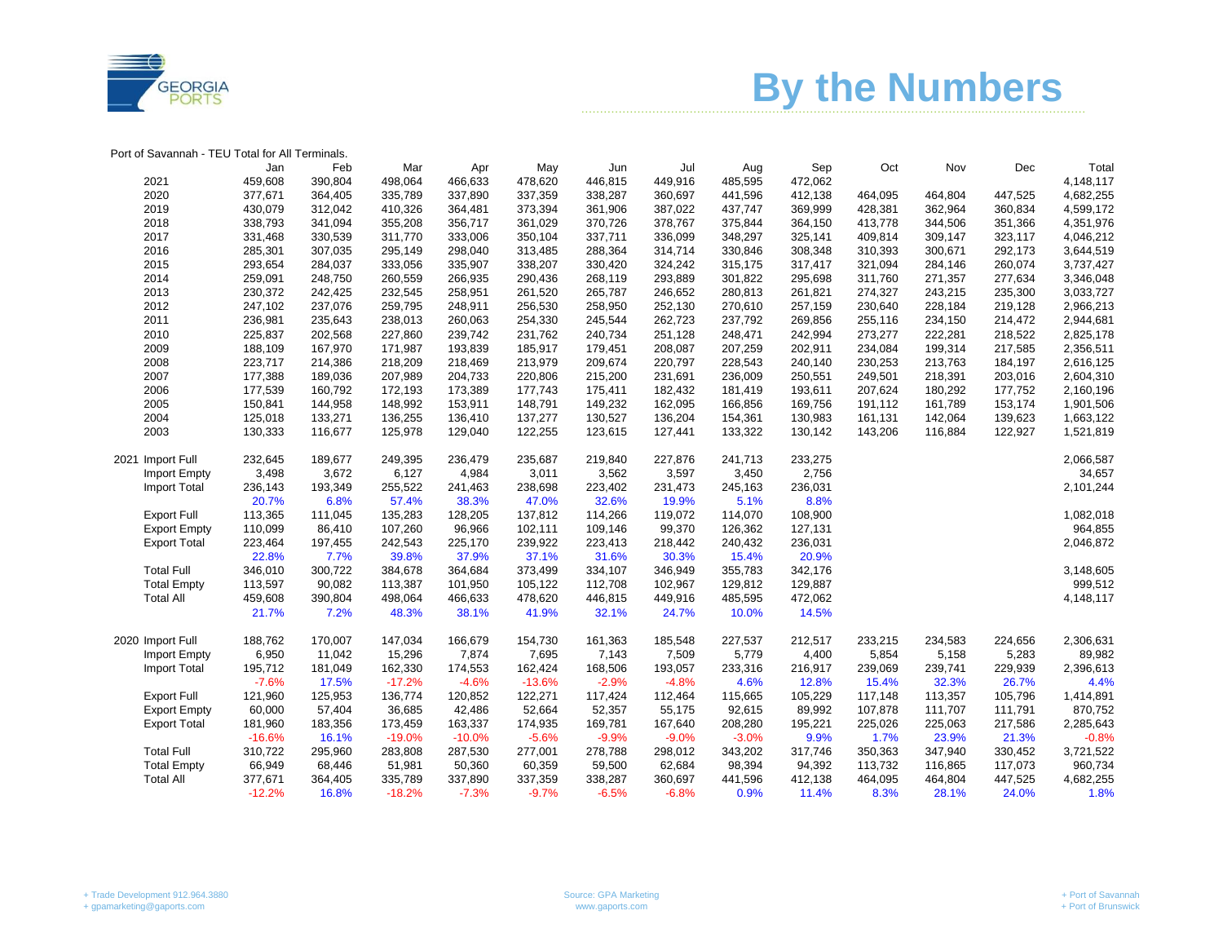

## ……………………………………………………………………………………………..………………….…… **By the Numbers**

| Port of Savannah - TEU Total for All Terminals. |          |         |          |          |          |         |         |         |         |         |         |         |           |
|-------------------------------------------------|----------|---------|----------|----------|----------|---------|---------|---------|---------|---------|---------|---------|-----------|
|                                                 | Jan      | Feb     | Mar      | Apr      | May      | Jun     | Jul     | Aug     | Sep     | Oct     | Nov     | Dec     | Total     |
| 2021                                            | 459,608  | 390,804 | 498,064  | 466,633  | 478,620  | 446,815 | 449,916 | 485,595 | 472,062 |         |         |         | 4,148,117 |
| 2020                                            | 377,671  | 364,405 | 335,789  | 337,890  | 337,359  | 338,287 | 360,697 | 441,596 | 412,138 | 464,095 | 464,804 | 447,525 | 4,682,255 |
| 2019                                            | 430,079  | 312,042 | 410,326  | 364,481  | 373,394  | 361,906 | 387,022 | 437,747 | 369,999 | 428,381 | 362,964 | 360,834 | 4,599,172 |
| 2018                                            | 338,793  | 341,094 | 355,208  | 356,717  | 361,029  | 370,726 | 378,767 | 375,844 | 364,150 | 413,778 | 344,506 | 351,366 | 4,351,976 |
| 2017                                            | 331,468  | 330,539 | 311,770  | 333,006  | 350,104  | 337,711 | 336,099 | 348,297 | 325,141 | 409,814 | 309,147 | 323,117 | 4,046,212 |
| 2016                                            | 285,301  | 307,035 | 295,149  | 298,040  | 313,485  | 288,364 | 314,714 | 330,846 | 308,348 | 310,393 | 300,671 | 292,173 | 3,644,519 |
| 2015                                            | 293,654  | 284,037 | 333,056  | 335,907  | 338,207  | 330,420 | 324,242 | 315,175 | 317,417 | 321,094 | 284,146 | 260,074 | 3,737,427 |
| 2014                                            | 259,091  | 248,750 | 260,559  | 266,935  | 290,436  | 268,119 | 293,889 | 301,822 | 295,698 | 311,760 | 271,357 | 277,634 | 3,346,048 |
| 2013                                            | 230,372  | 242,425 | 232,545  | 258,951  | 261,520  | 265,787 | 246,652 | 280,813 | 261,821 | 274,327 | 243,215 | 235,300 | 3,033,727 |
| 2012                                            | 247,102  | 237,076 | 259,795  | 248,911  | 256,530  | 258,950 | 252,130 | 270,610 | 257,159 | 230,640 | 228,184 | 219,128 | 2,966,213 |
| 2011                                            | 236,981  | 235,643 | 238,013  | 260,063  | 254,330  | 245,544 | 262,723 | 237,792 | 269,856 | 255,116 | 234,150 | 214,472 | 2,944,681 |
| 2010                                            | 225,837  | 202,568 | 227,860  | 239,742  | 231,762  | 240,734 | 251,128 | 248,471 | 242,994 | 273,277 | 222,281 | 218,522 | 2,825,178 |
| 2009                                            | 188,109  | 167,970 | 171,987  | 193,839  | 185,917  | 179,451 | 208,087 | 207,259 | 202,911 | 234,084 | 199,314 | 217,585 | 2,356,511 |
| 2008                                            | 223,717  | 214,386 | 218,209  | 218,469  | 213,979  | 209,674 | 220,797 | 228,543 | 240,140 | 230,253 | 213,763 | 184,197 | 2,616,125 |
| 2007                                            | 177,388  | 189,036 | 207,989  | 204,733  | 220,806  | 215,200 | 231,691 | 236,009 | 250,551 | 249,501 | 218,391 | 203,016 | 2,604,310 |
| 2006                                            | 177,539  | 160,792 | 172,193  | 173,389  | 177,743  | 175,411 | 182,432 | 181,419 | 193,611 | 207,624 | 180,292 | 177,752 | 2,160,196 |
| 2005                                            | 150,841  | 144,958 | 148,992  | 153,911  | 148,791  | 149,232 | 162,095 | 166,856 | 169,756 | 191,112 | 161,789 | 153,174 | 1,901,506 |
| 2004                                            | 125,018  | 133,271 | 136,255  | 136,410  | 137,277  | 130,527 | 136,204 | 154,361 | 130,983 | 161,131 | 142,064 | 139,623 | 1,663,122 |
| 2003                                            | 130,333  | 116,677 | 125,978  | 129,040  | 122,255  | 123,615 | 127,441 | 133,322 | 130,142 | 143,206 | 116,884 | 122,927 | 1,521,819 |
| 2021 Import Full                                | 232,645  | 189,677 | 249,395  | 236,479  | 235,687  | 219,840 | 227,876 | 241,713 | 233,275 |         |         |         | 2,066,587 |
| Import Empty                                    | 3,498    | 3,672   | 6,127    | 4,984    | 3,011    | 3,562   | 3,597   | 3,450   | 2,756   |         |         |         | 34,657    |
| <b>Import Total</b>                             | 236,143  | 193,349 | 255,522  | 241,463  | 238,698  | 223,402 | 231,473 | 245,163 | 236,031 |         |         |         | 2,101,244 |
|                                                 | 20.7%    | 6.8%    | 57.4%    | 38.3%    | 47.0%    | 32.6%   | 19.9%   | 5.1%    | 8.8%    |         |         |         |           |
| <b>Export Full</b>                              | 113,365  | 111,045 | 135,283  | 128,205  | 137,812  | 114,266 | 119,072 | 114,070 | 108,900 |         |         |         | 1,082,018 |
| <b>Export Empty</b>                             | 110,099  | 86,410  | 107,260  | 96,966   | 102,111  | 109,146 | 99,370  | 126,362 | 127,131 |         |         |         | 964,855   |
| <b>Export Total</b>                             | 223,464  | 197,455 | 242,543  | 225,170  | 239,922  | 223,413 | 218,442 | 240,432 | 236,031 |         |         |         | 2,046,872 |
|                                                 | 22.8%    | 7.7%    | 39.8%    | 37.9%    | 37.1%    | 31.6%   | 30.3%   | 15.4%   | 20.9%   |         |         |         |           |
| <b>Total Full</b>                               | 346,010  | 300,722 | 384,678  | 364,684  | 373,499  | 334,107 | 346,949 | 355,783 | 342,176 |         |         |         | 3,148,605 |
| <b>Total Empty</b>                              | 113,597  | 90,082  | 113,387  | 101,950  | 105,122  | 112,708 | 102,967 | 129,812 | 129,887 |         |         |         | 999,512   |
| <b>Total All</b>                                | 459,608  | 390,804 | 498,064  | 466,633  | 478,620  | 446,815 | 449,916 | 485,595 | 472,062 |         |         |         | 4,148,117 |
|                                                 | 21.7%    | 7.2%    | 48.3%    | 38.1%    | 41.9%    | 32.1%   | 24.7%   | 10.0%   | 14.5%   |         |         |         |           |
| 2020 Import Full                                | 188,762  | 170,007 | 147,034  | 166,679  | 154,730  | 161,363 | 185,548 | 227,537 | 212,517 | 233,215 | 234,583 | 224,656 | 2,306,631 |
| Import Empty                                    | 6,950    | 11,042  | 15,296   | 7,874    | 7,695    | 7,143   | 7,509   | 5,779   | 4,400   | 5,854   | 5,158   | 5,283   | 89,982    |
| <b>Import Total</b>                             | 195,712  | 181,049 | 162,330  | 174,553  | 162,424  | 168,506 | 193,057 | 233,316 | 216,917 | 239,069 | 239,741 | 229,939 | 2,396,613 |
|                                                 | $-7.6%$  | 17.5%   | $-17.2%$ | $-4.6%$  | $-13.6%$ | $-2.9%$ | $-4.8%$ | 4.6%    | 12.8%   | 15.4%   | 32.3%   | 26.7%   | 4.4%      |
| <b>Export Full</b>                              | 121,960  | 125,953 | 136,774  | 120,852  | 122,271  | 117,424 | 112,464 | 115,665 | 105,229 | 117,148 | 113,357 | 105,796 | 1,414,891 |
| <b>Export Empty</b>                             | 60,000   | 57,404  | 36,685   | 42,486   | 52,664   | 52,357  | 55,175  | 92,615  | 89,992  | 107,878 | 111,707 | 111,791 | 870,752   |
| <b>Export Total</b>                             | 181,960  | 183,356 | 173,459  | 163,337  | 174,935  | 169,781 | 167,640 | 208,280 | 195,221 | 225,026 | 225,063 | 217,586 | 2,285,643 |
|                                                 | $-16.6%$ | 16.1%   | $-19.0%$ | $-10.0%$ | $-5.6%$  | $-9.9%$ | $-9.0%$ | $-3.0%$ | 9.9%    | 1.7%    | 23.9%   | 21.3%   | $-0.8%$   |
| <b>Total Full</b>                               | 310,722  | 295,960 | 283,808  | 287,530  | 277,001  | 278,788 | 298,012 | 343,202 | 317,746 | 350,363 | 347,940 | 330,452 | 3,721,522 |
| <b>Total Empty</b>                              | 66,949   | 68,446  | 51,981   | 50,360   | 60,359   | 59,500  | 62,684  | 98,394  | 94,392  | 113,732 | 116,865 | 117,073 | 960,734   |
| <b>Total All</b>                                | 377,671  | 364,405 | 335,789  | 337,890  | 337,359  | 338,287 | 360,697 | 441,596 | 412,138 | 464,095 | 464,804 | 447,525 | 4,682,255 |
|                                                 | $-12.2%$ | 16.8%   | $-18.2%$ | $-7.3%$  | $-9.7%$  | $-6.5%$ | $-6.8%$ | 0.9%    | 11.4%   | 8.3%    | 28.1%   | 24.0%   | 1.8%      |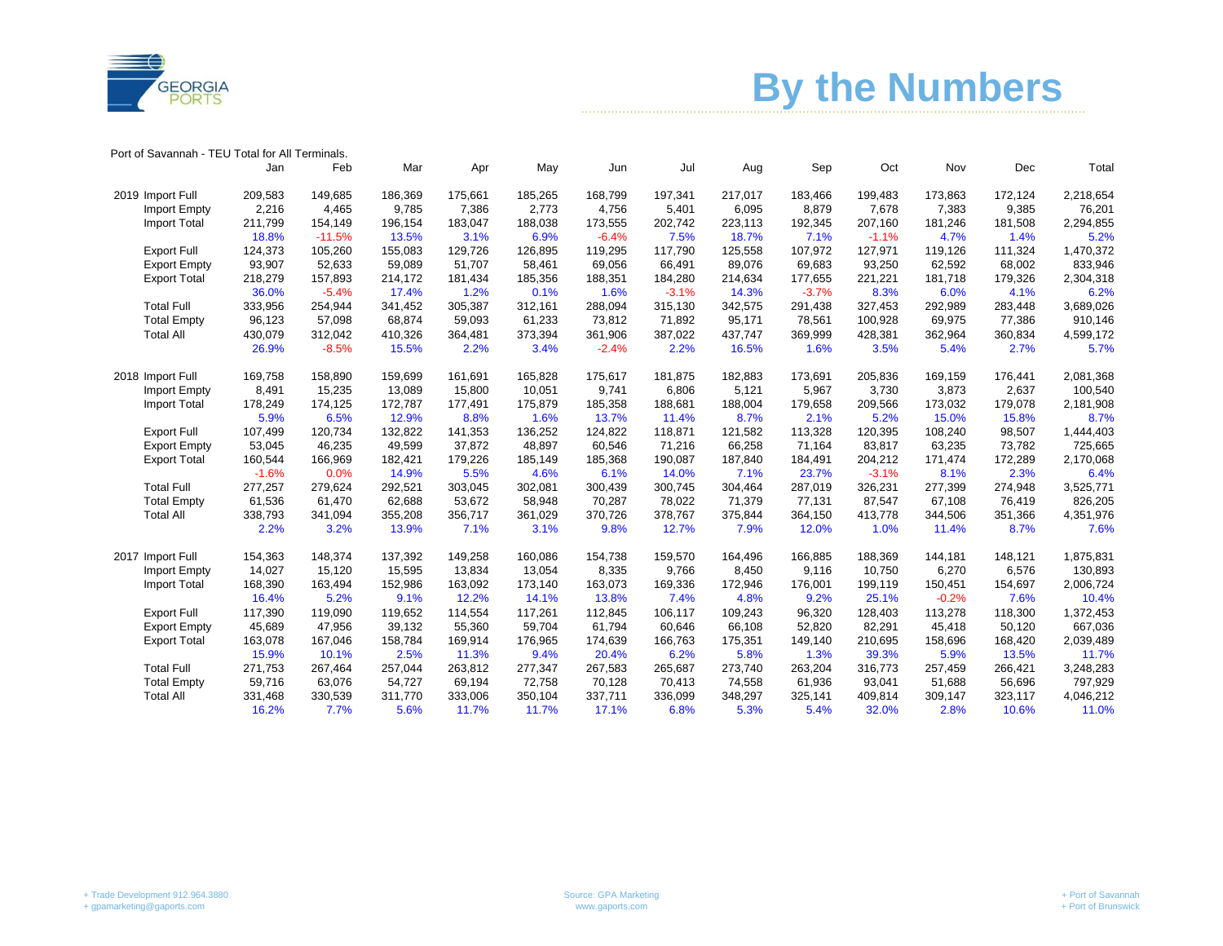

## ……………………………………………………………………………………………..………………….…… **By the Numbers**

| Port of Savannah - TEU Total for All Terminals. |         |          |         |         |         |         |         |         |         |         |         |         |           |
|-------------------------------------------------|---------|----------|---------|---------|---------|---------|---------|---------|---------|---------|---------|---------|-----------|
|                                                 | Jan     | Feb      | Mar     | Apr     | May     | Jun     | Jul     | Aug     | Sep     | Oct     | Nov     | Dec     | Total     |
| 2019 Import Full                                | 209,583 | 149,685  | 186,369 | 175,661 | 185,265 | 168,799 | 197,341 | 217,017 | 183,466 | 199,483 | 173,863 | 172,124 | 2,218,654 |
| Import Empty                                    | 2,216   | 4,465    | 9,785   | 7,386   | 2,773   | 4,756   | 5,401   | 6,095   | 8,879   | 7,678   | 7,383   | 9,385   | 76,201    |
| <b>Import Total</b>                             | 211,799 | 154,149  | 196,154 | 183,047 | 188,038 | 173,555 | 202,742 | 223,113 | 192,345 | 207,160 | 181,246 | 181,508 | 2,294,855 |
|                                                 | 18.8%   | $-11.5%$ | 13.5%   | 3.1%    | 6.9%    | $-6.4%$ | 7.5%    | 18.7%   | 7.1%    | $-1.1%$ | 4.7%    | 1.4%    | 5.2%      |
| Export Full                                     | 124,373 | 105,260  | 155,083 | 129,726 | 126,895 | 119,295 | 117,790 | 125,558 | 107,972 | 127,971 | 119,126 | 111,324 | 1,470,372 |
| <b>Export Empty</b>                             | 93,907  | 52,633   | 59,089  | 51,707  | 58,461  | 69,056  | 66,491  | 89,076  | 69,683  | 93,250  | 62,592  | 68,002  | 833,946   |
| <b>Export Total</b>                             | 218,279 | 157,893  | 214,172 | 181,434 | 185,356 | 188,351 | 184,280 | 214,634 | 177,655 | 221,221 | 181,718 | 179,326 | 2,304,318 |
|                                                 | 36.0%   | $-5.4%$  | 17.4%   | 1.2%    | 0.1%    | 1.6%    | $-3.1%$ | 14.3%   | $-3.7%$ | 8.3%    | 6.0%    | 4.1%    | 6.2%      |
| <b>Total Full</b>                               | 333,956 | 254,944  | 341,452 | 305,387 | 312,161 | 288,094 | 315,130 | 342,575 | 291,438 | 327,453 | 292,989 | 283,448 | 3,689,026 |
| <b>Total Empty</b>                              | 96,123  | 57,098   | 68,874  | 59,093  | 61,233  | 73,812  | 71,892  | 95,171  | 78,561  | 100,928 | 69,975  | 77,386  | 910,146   |
| <b>Total All</b>                                | 430,079 | 312,042  | 410,326 | 364,481 | 373,394 | 361,906 | 387,022 | 437,747 | 369,999 | 428,381 | 362,964 | 360,834 | 4,599,172 |
|                                                 | 26.9%   | $-8.5%$  | 15.5%   | 2.2%    | 3.4%    | $-2.4%$ | 2.2%    | 16.5%   | 1.6%    | 3.5%    | 5.4%    | 2.7%    | 5.7%      |
| 2018 Import Full                                | 169,758 | 158,890  | 159,699 | 161,691 | 165,828 | 175,617 | 181,875 | 182,883 | 173,691 | 205,836 | 169,159 | 176,441 | 2,081,368 |
| Import Empty                                    | 8,491   | 15,235   | 13,089  | 15,800  | 10,051  | 9,741   | 6,806   | 5,121   | 5,967   | 3,730   | 3,873   | 2,637   | 100,540   |
| Import Total                                    | 178,249 | 174,125  | 172,787 | 177,491 | 175,879 | 185,358 | 188,681 | 188,004 | 179,658 | 209,566 | 173,032 | 179,078 | 2,181,908 |
|                                                 | 5.9%    | 6.5%     | 12.9%   | 8.8%    | 1.6%    | 13.7%   | 11.4%   | 8.7%    | 2.1%    | 5.2%    | 15.0%   | 15.8%   | 8.7%      |
| Export Full                                     | 107,499 | 120,734  | 132,822 | 141,353 | 136,252 | 124,822 | 118,871 | 121,582 | 113,328 | 120,395 | 108,240 | 98,507  | 1,444,403 |
| <b>Export Empty</b>                             | 53,045  | 46,235   | 49,599  | 37,872  | 48,897  | 60,546  | 71,216  | 66,258  | 71,164  | 83,817  | 63,235  | 73,782  | 725,665   |
| <b>Export Total</b>                             | 160,544 | 166,969  | 182,421 | 179,226 | 185,149 | 185,368 | 190,087 | 187,840 | 184,491 | 204,212 | 171,474 | 172,289 | 2,170,068 |
|                                                 | $-1.6%$ | 0.0%     | 14.9%   | 5.5%    | 4.6%    | 6.1%    | 14.0%   | 7.1%    | 23.7%   | $-3.1%$ | 8.1%    | 2.3%    | 6.4%      |
| <b>Total Full</b>                               | 277,257 | 279,624  | 292,521 | 303,045 | 302,081 | 300,439 | 300,745 | 304,464 | 287,019 | 326,231 | 277,399 | 274,948 | 3,525,771 |
| <b>Total Empty</b>                              | 61,536  | 61,470   | 62,688  | 53,672  | 58,948  | 70,287  | 78,022  | 71,379  | 77,131  | 87,547  | 67,108  | 76,419  | 826,205   |
| <b>Total All</b>                                | 338,793 | 341,094  | 355,208 | 356,717 | 361,029 | 370,726 | 378,767 | 375,844 | 364,150 | 413,778 | 344,506 | 351,366 | 4,351,976 |
|                                                 | 2.2%    | 3.2%     | 13.9%   | 7.1%    | 3.1%    | 9.8%    | 12.7%   | 7.9%    | 12.0%   | 1.0%    | 11.4%   | 8.7%    | 7.6%      |
| 2017 Import Full                                | 154,363 | 148,374  | 137,392 | 149,258 | 160,086 | 154,738 | 159,570 | 164,496 | 166,885 | 188,369 | 144,181 | 148,121 | 1,875,831 |
| <b>Import Empty</b>                             | 14,027  | 15,120   | 15,595  | 13,834  | 13,054  | 8,335   | 9,766   | 8,450   | 9,116   | 10,750  | 6,270   | 6,576   | 130,893   |
| Import Total                                    | 168,390 | 163,494  | 152,986 | 163,092 | 173,140 | 163,073 | 169,336 | 172,946 | 176,001 | 199,119 | 150,451 | 154,697 | 2,006,724 |
|                                                 | 16.4%   | 5.2%     | 9.1%    | 12.2%   | 14.1%   | 13.8%   | 7.4%    | 4.8%    | 9.2%    | 25.1%   | $-0.2%$ | 7.6%    | 10.4%     |
| Export Full                                     | 117,390 | 119,090  | 119,652 | 114,554 | 117,261 | 112,845 | 106,117 | 109,243 | 96,320  | 128,403 | 113,278 | 118,300 | 1,372,453 |
| <b>Export Empty</b>                             | 45,689  | 47,956   | 39,132  | 55,360  | 59,704  | 61,794  | 60,646  | 66,108  | 52,820  | 82,291  | 45,418  | 50,120  | 667,036   |
| <b>Export Total</b>                             | 163,078 | 167,046  | 158,784 | 169,914 | 176,965 | 174,639 | 166,763 | 175,351 | 149,140 | 210,695 | 158,696 | 168,420 | 2,039,489 |
|                                                 | 15.9%   | 10.1%    | 2.5%    | 11.3%   | 9.4%    | 20.4%   | 6.2%    | 5.8%    | 1.3%    | 39.3%   | 5.9%    | 13.5%   | 11.7%     |
| <b>Total Full</b>                               | 271,753 | 267,464  | 257,044 | 263,812 | 277,347 | 267,583 | 265,687 | 273,740 | 263,204 | 316,773 | 257,459 | 266,421 | 3,248,283 |
| <b>Total Empty</b>                              | 59,716  | 63,076   | 54,727  | 69,194  | 72,758  | 70,128  | 70,413  | 74,558  | 61,936  | 93,041  | 51,688  | 56,696  | 797,929   |
| <b>Total All</b>                                | 331,468 | 330,539  | 311,770 | 333,006 | 350,104 | 337,711 | 336,099 | 348,297 | 325,141 | 409,814 | 309,147 | 323,117 | 4,046,212 |
|                                                 | 16.2%   | 7.7%     | 5.6%    | 11.7%   | 11.7%   | 17.1%   | 6.8%    | 5.3%    | 5.4%    | 32.0%   | 2.8%    | 10.6%   | 11.0%     |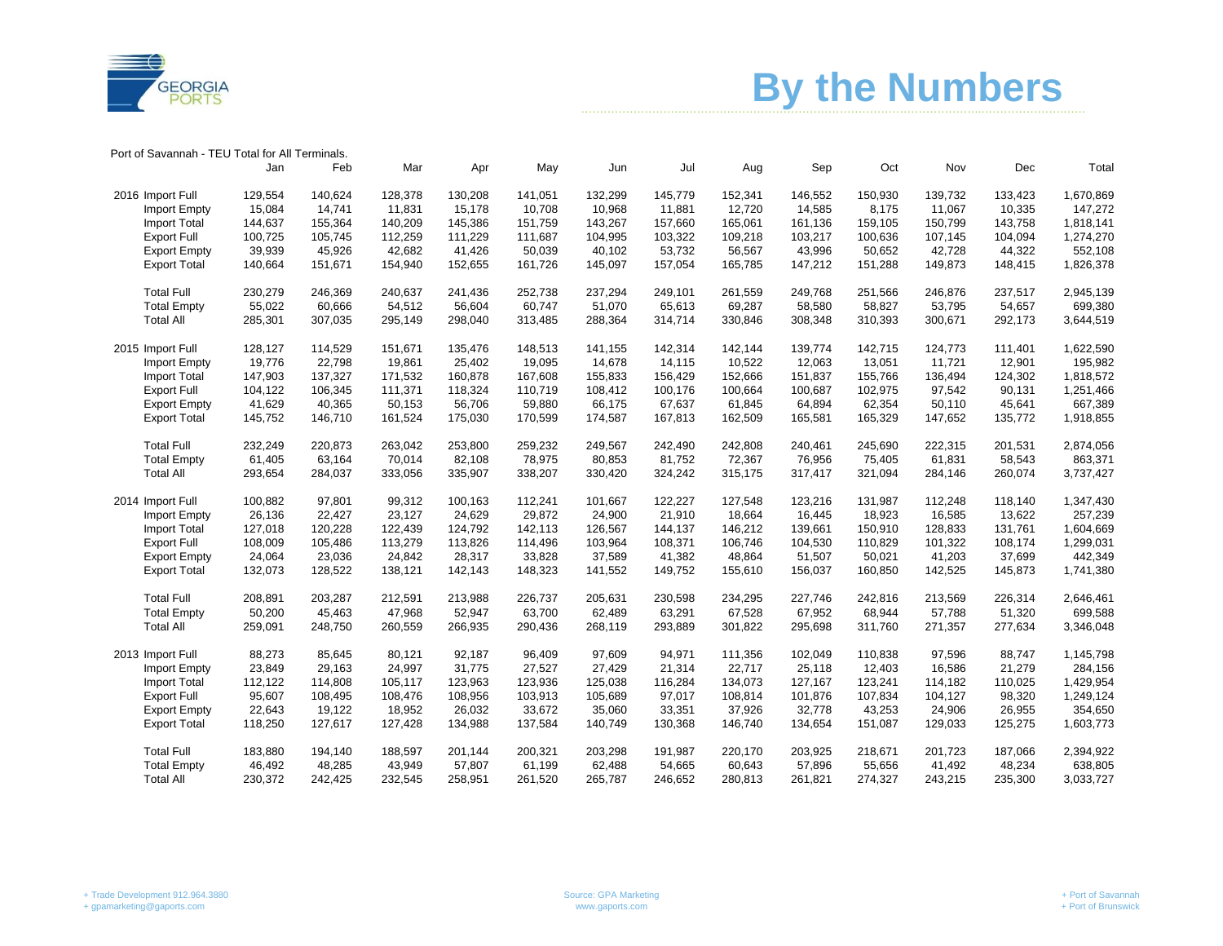



Port of Savannah - TEU Total for All Terminals.

|                     | Jan     | Feb     | Mar     | Apr     | May     | Jun     | Jul     | Aug     | Sep     | Oct     | Nov     | Dec     | Total     |
|---------------------|---------|---------|---------|---------|---------|---------|---------|---------|---------|---------|---------|---------|-----------|
| 2016 Import Full    | 129,554 | 140.624 | 128,378 | 130,208 | 141.051 | 132,299 | 145.779 | 152,341 | 146,552 | 150,930 | 139.732 | 133,423 | 1,670,869 |
| Import Empty        | 15,084  | 14.741  | 11.831  | 15.178  | 10.708  | 10.968  | 11.881  | 12,720  | 14.585  | 8.175   | 11.067  | 10,335  | 147,272   |
| Import Total        | 144,637 | 155,364 | 140,209 | 145,386 | 151,759 | 143,267 | 157,660 | 165,061 | 161,136 | 159,105 | 150,799 | 143,758 | 1,818,141 |
| <b>Export Full</b>  | 100,725 | 105,745 | 112,259 | 111,229 | 111,687 | 104,995 | 103,322 | 109,218 | 103,217 | 100,636 | 107,145 | 104,094 | 1,274,270 |
| <b>Export Empty</b> | 39,939  | 45,926  | 42,682  | 41,426  | 50,039  | 40,102  | 53,732  | 56,567  | 43,996  | 50,652  | 42.728  | 44,322  | 552,108   |
| <b>Export Total</b> | 140,664 | 151,671 | 154,940 | 152,655 | 161,726 | 145,097 | 157,054 | 165,785 | 147,212 | 151,288 | 149,873 | 148,415 | 1,826,378 |
| <b>Total Full</b>   | 230,279 | 246,369 | 240,637 | 241,436 | 252,738 | 237,294 | 249,101 | 261,559 | 249.768 | 251,566 | 246.876 | 237,517 | 2,945,139 |
| <b>Total Empty</b>  | 55,022  | 60,666  | 54,512  | 56,604  | 60,747  | 51,070  | 65,613  | 69,287  | 58,580  | 58,827  | 53,795  | 54,657  | 699,380   |
| <b>Total All</b>    | 285,301 | 307,035 | 295,149 | 298,040 | 313,485 | 288,364 | 314,714 | 330,846 | 308,348 | 310,393 | 300,671 | 292,173 | 3,644,519 |
| 2015 Import Full    | 128,127 | 114,529 | 151,671 | 135,476 | 148,513 | 141,155 | 142,314 | 142,144 | 139,774 | 142,715 | 124,773 | 111,401 | 1,622,590 |
| Import Empty        | 19,776  | 22,798  | 19,861  | 25,402  | 19,095  | 14,678  | 14,115  | 10,522  | 12,063  | 13,051  | 11,721  | 12,901  | 195,982   |
| Import Total        | 147,903 | 137,327 | 171,532 | 160,878 | 167,608 | 155,833 | 156,429 | 152,666 | 151,837 | 155,766 | 136,494 | 124,302 | 1,818,572 |
| <b>Export Full</b>  | 104,122 | 106,345 | 111,371 | 118,324 | 110,719 | 108,412 | 100,176 | 100,664 | 100,687 | 102,975 | 97,542  | 90,131  | 1,251,466 |
| <b>Export Empty</b> | 41,629  | 40,365  | 50,153  | 56,706  | 59,880  | 66,175  | 67,637  | 61,845  | 64,894  | 62,354  | 50,110  | 45,641  | 667,389   |
| <b>Export Total</b> | 145,752 | 146,710 | 161,524 | 175,030 | 170,599 | 174,587 | 167,813 | 162,509 | 165,581 | 165,329 | 147,652 | 135,772 | 1,918,855 |
| <b>Total Full</b>   | 232,249 | 220,873 | 263,042 | 253,800 | 259,232 | 249,567 | 242,490 | 242,808 | 240,461 | 245,690 | 222,315 | 201,531 | 2,874,056 |
| <b>Total Empty</b>  | 61,405  | 63,164  | 70,014  | 82,108  | 78,975  | 80,853  | 81,752  | 72,367  | 76,956  | 75,405  | 61,831  | 58,543  | 863,371   |
| <b>Total All</b>    | 293,654 | 284,037 | 333,056 | 335,907 | 338,207 | 330,420 | 324,242 | 315,175 | 317,417 | 321,094 | 284,146 | 260,074 | 3,737,427 |
| 2014 Import Full    | 100,882 | 97,801  | 99,312  | 100,163 | 112,241 | 101,667 | 122,227 | 127,548 | 123,216 | 131,987 | 112,248 | 118,140 | 1,347,430 |
| Import Empty        | 26,136  | 22,427  | 23,127  | 24,629  | 29,872  | 24,900  | 21,910  | 18,664  | 16,445  | 18,923  | 16,585  | 13,622  | 257,239   |
| Import Total        | 127,018 | 120,228 | 122,439 | 124,792 | 142,113 | 126,567 | 144,137 | 146,212 | 139,661 | 150,910 | 128,833 | 131,761 | 1,604,669 |
| Export Full         | 108,009 | 105,486 | 113,279 | 113,826 | 114,496 | 103,964 | 108,371 | 106,746 | 104,530 | 110,829 | 101,322 | 108,174 | 1,299,031 |
| <b>Export Empty</b> | 24,064  | 23,036  | 24,842  | 28,317  | 33,828  | 37,589  | 41,382  | 48,864  | 51,507  | 50,021  | 41,203  | 37,699  | 442,349   |
| <b>Export Total</b> | 132,073 | 128,522 | 138,121 | 142,143 | 148,323 | 141,552 | 149,752 | 155,610 | 156,037 | 160,850 | 142,525 | 145,873 | 1,741,380 |
| <b>Total Full</b>   | 208,891 | 203,287 | 212,591 | 213,988 | 226,737 | 205,631 | 230,598 | 234,295 | 227,746 | 242,816 | 213,569 | 226,314 | 2,646,461 |
| <b>Total Empty</b>  | 50,200  | 45,463  | 47,968  | 52,947  | 63,700  | 62,489  | 63,291  | 67,528  | 67,952  | 68,944  | 57,788  | 51,320  | 699,588   |
| <b>Total All</b>    | 259,091 | 248,750 | 260,559 | 266,935 | 290,436 | 268,119 | 293,889 | 301,822 | 295,698 | 311,760 | 271,357 | 277,634 | 3,346,048 |
| 2013 Import Full    | 88,273  | 85,645  | 80,121  | 92,187  | 96,409  | 97,609  | 94,971  | 111,356 | 102,049 | 110,838 | 97,596  | 88,747  | 1,145,798 |
| Import Empty        | 23,849  | 29,163  | 24,997  | 31,775  | 27,527  | 27,429  | 21,314  | 22,717  | 25,118  | 12,403  | 16,586  | 21,279  | 284,156   |
| <b>Import Total</b> | 112,122 | 114,808 | 105,117 | 123,963 | 123,936 | 125,038 | 116,284 | 134,073 | 127,167 | 123,241 | 114,182 | 110,025 | 1,429,954 |
| <b>Export Full</b>  | 95,607  | 108,495 | 108,476 | 108,956 | 103,913 | 105,689 | 97,017  | 108,814 | 101.876 | 107,834 | 104,127 | 98,320  | 1,249,124 |
| <b>Export Empty</b> | 22,643  | 19,122  | 18,952  | 26,032  | 33,672  | 35,060  | 33,351  | 37,926  | 32,778  | 43,253  | 24,906  | 26,955  | 354,650   |
| <b>Export Total</b> | 118,250 | 127,617 | 127,428 | 134,988 | 137,584 | 140,749 | 130,368 | 146,740 | 134,654 | 151,087 | 129,033 | 125,275 | 1,603,773 |
| <b>Total Full</b>   | 183,880 | 194.140 | 188,597 | 201.144 | 200.321 | 203,298 | 191,987 | 220,170 | 203,925 | 218,671 | 201.723 | 187,066 | 2,394,922 |
| <b>Total Empty</b>  | 46,492  | 48,285  | 43,949  | 57,807  | 61,199  | 62,488  | 54,665  | 60,643  | 57,896  | 55,656  | 41,492  | 48,234  | 638,805   |
| <b>Total All</b>    | 230,372 | 242,425 | 232,545 | 258,951 | 261,520 | 265,787 | 246,652 | 280,813 | 261,821 | 274,327 | 243,215 | 235,300 | 3,033,727 |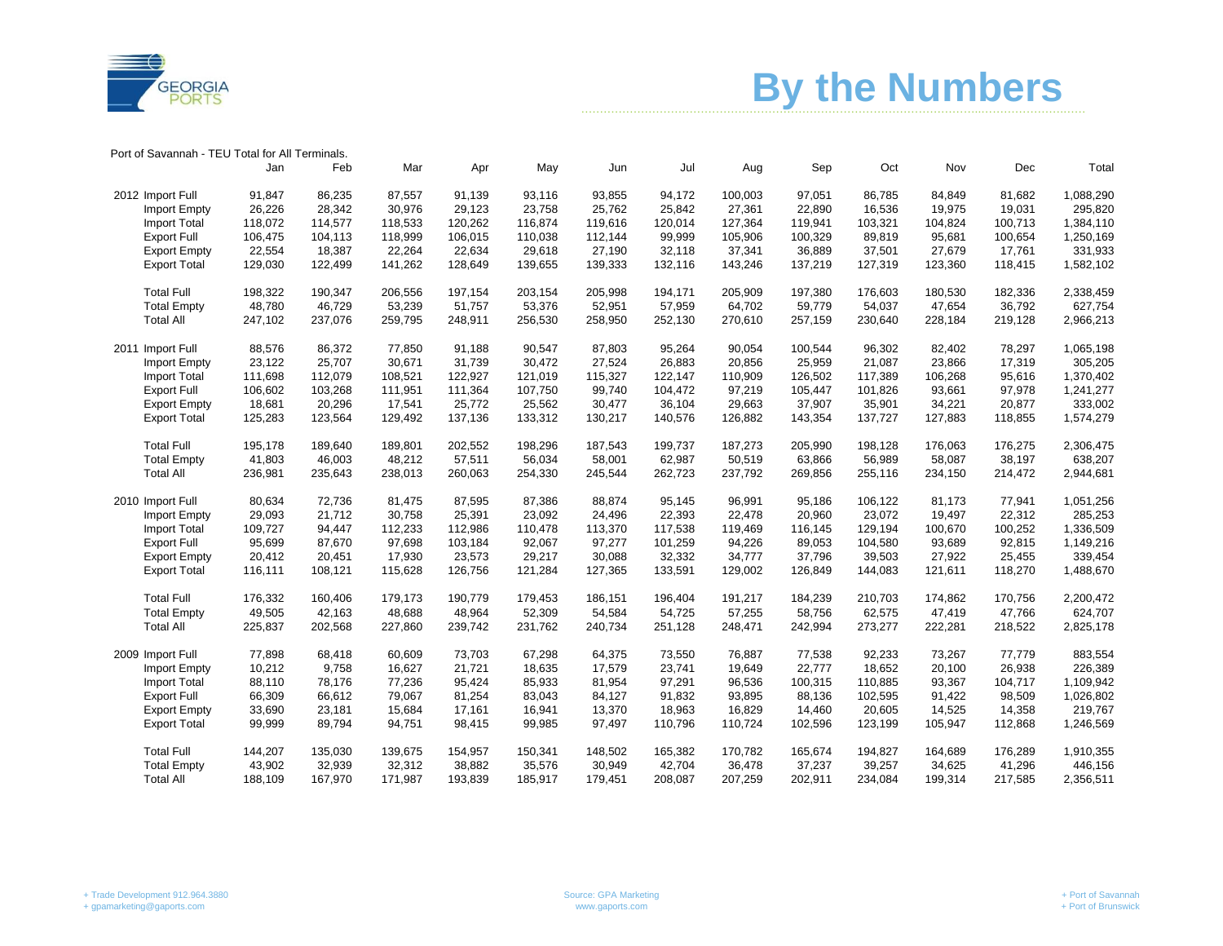

**Example 1.5 Assemble 1.5 Assemble 1.5 Assemble 1.5 Assemble 1.6 Assemble 1.6 Assemble 1.6 Assemble 1.6 Assemble 1.6 Assemble 1.6 Assemble 1.6 Assemble 1.6 Assemble 1.6 Assemble 1.6 Assemble 1.6 Assemble 1.6 Assemble 1.6 A** 

| Port of Savannah - TEU Total for All Terminals. |  |
|-------------------------------------------------|--|
|-------------------------------------------------|--|

|                     | Jan     | Feb     | Mar     | Apr     | May     | Jun     | Jul     | Aug     | Sep     | Oct     | Nov     | Dec     | Total     |
|---------------------|---------|---------|---------|---------|---------|---------|---------|---------|---------|---------|---------|---------|-----------|
| 2012 Import Full    | 91,847  | 86,235  | 87,557  | 91,139  | 93,116  | 93,855  | 94,172  | 100,003 | 97,051  | 86,785  | 84,849  | 81,682  | 1,088,290 |
| Import Empty        | 26,226  | 28,342  | 30,976  | 29,123  | 23.758  | 25.762  | 25,842  | 27,361  | 22.890  | 16,536  | 19,975  | 19,031  | 295,820   |
| Import Total        | 118,072 | 114,577 | 118,533 | 120,262 | 116,874 | 119,616 | 120,014 | 127,364 | 119,941 | 103,321 | 104,824 | 100,713 | 1,384,110 |
| <b>Export Full</b>  | 106,475 | 104,113 | 118,999 | 106,015 | 110,038 | 112,144 | 99,999  | 105,906 | 100,329 | 89,819  | 95,681  | 100,654 | 1,250,169 |
| <b>Export Empty</b> | 22,554  | 18,387  | 22,264  | 22,634  | 29,618  | 27,190  | 32,118  | 37,341  | 36,889  | 37,501  | 27,679  | 17,761  | 331,933   |
| <b>Export Total</b> | 129,030 | 122,499 | 141,262 | 128,649 | 139,655 | 139,333 | 132,116 | 143,246 | 137,219 | 127,319 | 123,360 | 118,415 | 1,582,102 |
| <b>Total Full</b>   | 198,322 | 190,347 | 206,556 | 197,154 | 203,154 | 205,998 | 194,171 | 205,909 | 197,380 | 176,603 | 180,530 | 182,336 | 2,338,459 |
| <b>Total Empty</b>  | 48,780  | 46,729  | 53,239  | 51,757  | 53,376  | 52,951  | 57,959  | 64,702  | 59,779  | 54,037  | 47,654  | 36,792  | 627,754   |
| <b>Total All</b>    | 247,102 | 237,076 | 259,795 | 248,911 | 256,530 | 258,950 | 252,130 | 270,610 | 257,159 | 230,640 | 228,184 | 219,128 | 2,966,213 |
| 2011 Import Full    | 88,576  | 86,372  | 77,850  | 91.188  | 90,547  | 87,803  | 95,264  | 90,054  | 100,544 | 96,302  | 82,402  | 78,297  | 1,065,198 |
| Import Empty        | 23,122  | 25,707  | 30,671  | 31,739  | 30,472  | 27,524  | 26,883  | 20,856  | 25,959  | 21,087  | 23,866  | 17,319  | 305,205   |
| Import Total        | 111,698 | 112,079 | 108,521 | 122,927 | 121,019 | 115,327 | 122,147 | 110,909 | 126,502 | 117,389 | 106,268 | 95,616  | 1,370,402 |
| <b>Export Full</b>  | 106,602 | 103,268 | 111,951 | 111,364 | 107,750 | 99,740  | 104,472 | 97,219  | 105,447 | 101,826 | 93,661  | 97,978  | 1,241,277 |
| <b>Export Empty</b> | 18,681  | 20,296  | 17,541  | 25,772  | 25,562  | 30,477  | 36,104  | 29,663  | 37,907  | 35,901  | 34,221  | 20,877  | 333,002   |
| <b>Export Total</b> | 125,283 | 123,564 | 129,492 | 137,136 | 133,312 | 130,217 | 140,576 | 126,882 | 143,354 | 137,727 | 127,883 | 118,855 | 1,574,279 |
| <b>Total Full</b>   | 195,178 | 189,640 | 189,801 | 202,552 | 198,296 | 187,543 | 199,737 | 187,273 | 205,990 | 198,128 | 176,063 | 176,275 | 2,306,475 |
| <b>Total Empty</b>  | 41,803  | 46,003  | 48,212  | 57,511  | 56,034  | 58,001  | 62,987  | 50,519  | 63,866  | 56,989  | 58,087  | 38,197  | 638,207   |
| <b>Total All</b>    | 236,981 | 235,643 | 238,013 | 260,063 | 254,330 | 245,544 | 262,723 | 237,792 | 269,856 | 255,116 | 234,150 | 214,472 | 2,944,681 |
| 2010 Import Full    | 80,634  | 72,736  | 81,475  | 87,595  | 87,386  | 88,874  | 95,145  | 96,991  | 95,186  | 106,122 | 81,173  | 77,941  | 1,051,256 |
| Import Empty        | 29,093  | 21,712  | 30,758  | 25,391  | 23,092  | 24,496  | 22,393  | 22,478  | 20,960  | 23,072  | 19,497  | 22,312  | 285,253   |
| <b>Import Total</b> | 109,727 | 94,447  | 112,233 | 112,986 | 110,478 | 113,370 | 117,538 | 119,469 | 116,145 | 129,194 | 100,670 | 100,252 | 1,336,509 |
| <b>Export Full</b>  | 95,699  | 87,670  | 97,698  | 103,184 | 92,067  | 97,277  | 101,259 | 94,226  | 89,053  | 104,580 | 93,689  | 92,815  | 1,149,216 |
| <b>Export Empty</b> | 20,412  | 20,451  | 17,930  | 23,573  | 29,217  | 30,088  | 32,332  | 34,777  | 37,796  | 39,503  | 27,922  | 25,455  | 339,454   |
| <b>Export Total</b> | 116,111 | 108,121 | 115,628 | 126,756 | 121,284 | 127,365 | 133,591 | 129,002 | 126,849 | 144,083 | 121,611 | 118,270 | 1,488,670 |
| <b>Total Full</b>   | 176,332 | 160,406 | 179,173 | 190,779 | 179,453 | 186,151 | 196,404 | 191,217 | 184,239 | 210,703 | 174,862 | 170,756 | 2,200,472 |
| <b>Total Empty</b>  | 49,505  | 42,163  | 48,688  | 48,964  | 52,309  | 54,584  | 54,725  | 57,255  | 58,756  | 62,575  | 47,419  | 47,766  | 624,707   |
| <b>Total All</b>    | 225,837 | 202,568 | 227,860 | 239,742 | 231,762 | 240,734 | 251,128 | 248,471 | 242,994 | 273,277 | 222,281 | 218,522 | 2,825,178 |
| 2009 Import Full    | 77,898  | 68,418  | 60,609  | 73,703  | 67,298  | 64,375  | 73,550  | 76,887  | 77,538  | 92,233  | 73,267  | 77,779  | 883,554   |
| Import Empty        | 10,212  | 9,758   | 16,627  | 21,721  | 18,635  | 17,579  | 23,741  | 19,649  | 22,777  | 18,652  | 20,100  | 26,938  | 226,389   |
| Import Total        | 88,110  | 78,176  | 77,236  | 95,424  | 85,933  | 81,954  | 97,291  | 96,536  | 100,315 | 110,885 | 93,367  | 104,717 | 1,109,942 |
| <b>Export Full</b>  | 66,309  | 66,612  | 79,067  | 81,254  | 83,043  | 84,127  | 91,832  | 93,895  | 88,136  | 102,595 | 91,422  | 98,509  | 1,026,802 |
| <b>Export Empty</b> | 33,690  | 23,181  | 15,684  | 17,161  | 16,941  | 13,370  | 18,963  | 16,829  | 14,460  | 20,605  | 14,525  | 14,358  | 219,767   |
| <b>Export Total</b> | 99,999  | 89,794  | 94,751  | 98,415  | 99,985  | 97,497  | 110,796 | 110,724 | 102,596 | 123,199 | 105,947 | 112,868 | 1,246,569 |
| <b>Total Full</b>   | 144,207 | 135,030 | 139,675 | 154,957 | 150,341 | 148,502 | 165,382 | 170,782 | 165,674 | 194,827 | 164,689 | 176,289 | 1,910,355 |
| <b>Total Empty</b>  | 43,902  | 32,939  | 32,312  | 38,882  | 35,576  | 30,949  | 42,704  | 36,478  | 37,237  | 39,257  | 34,625  | 41,296  | 446,156   |
| <b>Total All</b>    | 188,109 | 167,970 | 171,987 | 193,839 | 185,917 | 179,451 | 208,087 | 207,259 | 202,911 | 234,084 | 199,314 | 217,585 | 2,356,511 |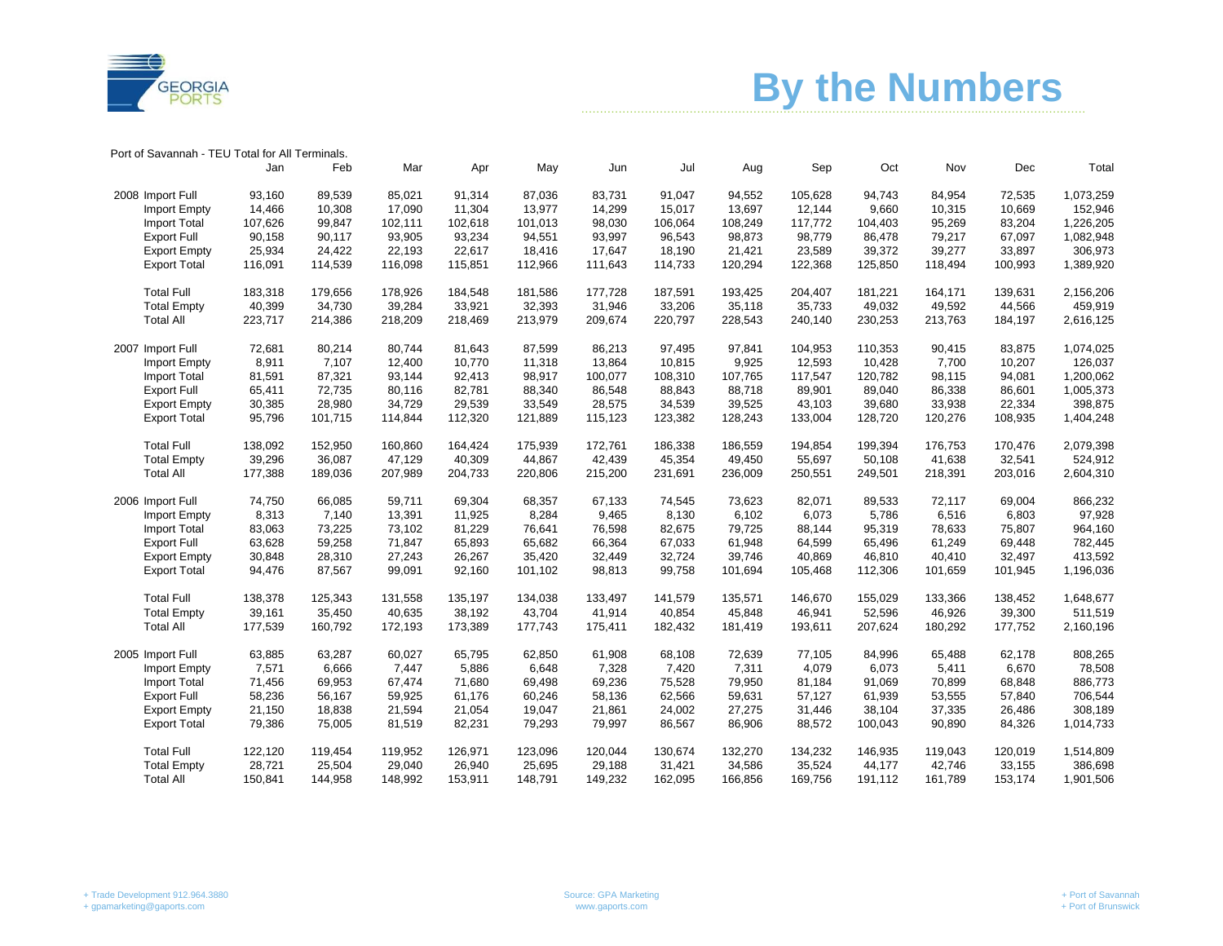

**Example 1.5 Assemble 1.5 Assemble 1.5 Assemble 1.5 Assemble 1.6 Assemble 1.6 Assemble 1.6 Assemble 1.6 Assemble 1.6 Assemble 1.6 Assemble 1.6 Assemble 1.6 Assemble 1.6 Assemble 1.6 Assemble 1.6 Assemble 1.6 Assemble 1.6 A** 

| Port of Savannah - TEU Total for All Terminals. |  |  |  |
|-------------------------------------------------|--|--|--|
|-------------------------------------------------|--|--|--|

|                     | Jan     | Feb     | Mar     | Apr     | May     | Jun     | Jul     | Aug     | Sep     | Oct     | Nov     | Dec     | Total     |
|---------------------|---------|---------|---------|---------|---------|---------|---------|---------|---------|---------|---------|---------|-----------|
| 2008 Import Full    | 93.160  | 89,539  | 85,021  | 91,314  | 87,036  | 83.731  | 91.047  | 94,552  | 105.628 | 94,743  | 84,954  | 72,535  | 1,073,259 |
| Import Empty        | 14,466  | 10,308  | 17,090  | 11,304  | 13,977  | 14,299  | 15,017  | 13,697  | 12,144  | 9,660   | 10,315  | 10,669  | 152,946   |
| <b>Import Total</b> | 107,626 | 99,847  | 102,111 | 102,618 | 101,013 | 98,030  | 106,064 | 108,249 | 117,772 | 104,403 | 95,269  | 83,204  | 1,226,205 |
| <b>Export Full</b>  | 90,158  | 90,117  | 93,905  | 93,234  | 94,551  | 93,997  | 96,543  | 98,873  | 98,779  | 86,478  | 79,217  | 67,097  | 1,082,948 |
| <b>Export Empty</b> | 25,934  | 24.422  | 22,193  | 22,617  | 18,416  | 17,647  | 18,190  | 21,421  | 23,589  | 39,372  | 39,277  | 33,897  | 306,973   |
| <b>Export Total</b> | 116,091 | 114,539 | 116,098 | 115,851 | 112,966 | 111,643 | 114,733 | 120,294 | 122,368 | 125,850 | 118,494 | 100,993 | 1,389,920 |
| <b>Total Full</b>   | 183,318 | 179.656 | 178.926 | 184,548 | 181.586 | 177,728 | 187.591 | 193.425 | 204.407 | 181,221 | 164.171 | 139.631 | 2,156,206 |
| <b>Total Empty</b>  | 40,399  | 34,730  | 39,284  | 33,921  | 32,393  | 31,946  | 33,206  | 35,118  | 35,733  | 49,032  | 49,592  | 44,566  | 459,919   |
| <b>Total All</b>    | 223,717 | 214,386 | 218,209 | 218,469 | 213,979 | 209,674 | 220,797 | 228,543 | 240,140 | 230,253 | 213,763 | 184,197 | 2,616,125 |
| 2007 Import Full    | 72,681  | 80,214  | 80,744  | 81,643  | 87,599  | 86,213  | 97,495  | 97,841  | 104,953 | 110,353 | 90,415  | 83,875  | 1,074,025 |
| <b>Import Empty</b> | 8,911   | 7,107   | 12,400  | 10,770  | 11,318  | 13,864  | 10,815  | 9,925   | 12,593  | 10,428  | 7,700   | 10,207  | 126,037   |
| <b>Import Total</b> | 81,591  | 87,321  | 93,144  | 92.413  | 98,917  | 100,077 | 108,310 | 107,765 | 117,547 | 120,782 | 98,115  | 94,081  | 1,200,062 |
| <b>Export Full</b>  | 65,411  | 72,735  | 80,116  | 82,781  | 88,340  | 86,548  | 88,843  | 88,718  | 89,901  | 89,040  | 86,338  | 86,601  | 1,005,373 |
| <b>Export Empty</b> | 30,385  | 28,980  | 34,729  | 29,539  | 33,549  | 28,575  | 34,539  | 39,525  | 43,103  | 39,680  | 33,938  | 22,334  | 398,875   |
| <b>Export Total</b> | 95,796  | 101,715 | 114,844 | 112,320 | 121,889 | 115,123 | 123,382 | 128,243 | 133,004 | 128,720 | 120,276 | 108,935 | 1,404,248 |
| <b>Total Full</b>   | 138,092 | 152,950 | 160.860 | 164,424 | 175,939 | 172,761 | 186,338 | 186,559 | 194,854 | 199,394 | 176.753 | 170,476 | 2,079,398 |
| <b>Total Empty</b>  | 39,296  | 36,087  | 47,129  | 40,309  | 44,867  | 42,439  | 45,354  | 49,450  | 55,697  | 50,108  | 41,638  | 32,541  | 524,912   |
| <b>Total All</b>    | 177,388 | 189,036 | 207,989 | 204,733 | 220,806 | 215,200 | 231,691 | 236,009 | 250,551 | 249,501 | 218,391 | 203,016 | 2,604,310 |
| 2006 Import Full    | 74.750  | 66.085  | 59.711  | 69,304  | 68,357  | 67,133  | 74,545  | 73,623  | 82,071  | 89,533  | 72,117  | 69,004  | 866,232   |
| Import Empty        | 8,313   | 7,140   | 13,391  | 11,925  | 8,284   | 9,465   | 8,130   | 6,102   | 6,073   | 5,786   | 6,516   | 6,803   | 97,928    |
| <b>Import Total</b> | 83,063  | 73,225  | 73,102  | 81,229  | 76,641  | 76,598  | 82,675  | 79,725  | 88,144  | 95,319  | 78,633  | 75,807  | 964,160   |
| <b>Export Full</b>  | 63,628  | 59,258  | 71,847  | 65,893  | 65,682  | 66,364  | 67,033  | 61,948  | 64,599  | 65,496  | 61,249  | 69,448  | 782,445   |
| <b>Export Empty</b> | 30,848  | 28,310  | 27,243  | 26,267  | 35,420  | 32,449  | 32,724  | 39,746  | 40,869  | 46,810  | 40,410  | 32,497  | 413,592   |
| <b>Export Total</b> | 94,476  | 87,567  | 99,091  | 92,160  | 101,102 | 98,813  | 99,758  | 101,694 | 105,468 | 112,306 | 101,659 | 101,945 | 1,196,036 |
| <b>Total Full</b>   | 138,378 | 125,343 | 131,558 | 135,197 | 134,038 | 133,497 | 141,579 | 135,571 | 146.670 | 155,029 | 133,366 | 138,452 | 1,648,677 |
| <b>Total Empty</b>  | 39,161  | 35,450  | 40,635  | 38,192  | 43,704  | 41,914  | 40,854  | 45,848  | 46,941  | 52,596  | 46,926  | 39,300  | 511,519   |
| <b>Total All</b>    | 177,539 | 160,792 | 172,193 | 173,389 | 177,743 | 175,411 | 182,432 | 181,419 | 193,611 | 207,624 | 180,292 | 177,752 | 2,160,196 |
| 2005 Import Full    | 63,885  | 63,287  | 60,027  | 65,795  | 62,850  | 61,908  | 68,108  | 72,639  | 77,105  | 84,996  | 65,488  | 62,178  | 808,265   |
| Import Empty        | 7,571   | 6,666   | 7,447   | 5,886   | 6,648   | 7,328   | 7,420   | 7,311   | 4,079   | 6,073   | 5,411   | 6,670   | 78,508    |
| <b>Import Total</b> | 71,456  | 69,953  | 67,474  | 71,680  | 69,498  | 69,236  | 75,528  | 79,950  | 81,184  | 91,069  | 70,899  | 68,848  | 886,773   |
| <b>Export Full</b>  | 58,236  | 56,167  | 59.925  | 61,176  | 60,246  | 58,136  | 62,566  | 59,631  | 57,127  | 61,939  | 53,555  | 57,840  | 706,544   |
| <b>Export Empty</b> | 21,150  | 18,838  | 21,594  | 21,054  | 19,047  | 21,861  | 24,002  | 27,275  | 31,446  | 38,104  | 37,335  | 26,486  | 308,189   |
| <b>Export Total</b> | 79,386  | 75,005  | 81,519  | 82,231  | 79,293  | 79,997  | 86,567  | 86,906  | 88,572  | 100,043 | 90,890  | 84,326  | 1,014,733 |
| <b>Total Full</b>   | 122,120 | 119,454 | 119,952 | 126,971 | 123,096 | 120.044 | 130,674 | 132,270 | 134,232 | 146,935 | 119,043 | 120,019 | 1,514,809 |
| <b>Total Empty</b>  | 28,721  | 25,504  | 29,040  | 26,940  | 25,695  | 29,188  | 31,421  | 34,586  | 35,524  | 44,177  | 42,746  | 33,155  | 386,698   |
| <b>Total All</b>    | 150,841 | 144,958 | 148,992 | 153,911 | 148,791 | 149,232 | 162.095 | 166,856 | 169.756 | 191,112 | 161,789 | 153,174 | 1,901,506 |